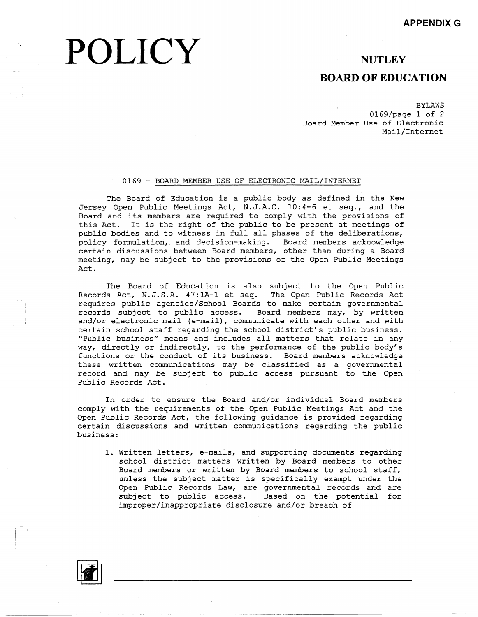# **POLICY**

**NUTLEY** 

### **BOARD OF EDUCATION**

BYLAWS 0169/page 1 of 2 Board Member Use of Electronic Mail/Internet

#### 0169 - BOARD MEMBER USE OF ELECTRONIC MAIL/INTERNET

The Board of Education is a public body as defined in the New Jersey Open Public Meetings Act, N.J.A.C. 10:4-6 et seq., and the Board and its members are required to comply with the provisions of this Act. It is the right of the public to be present at meetings of public bodies and to witness in full all phases of the deliberations, policy formulation, and decision-making. Board members acknowled certain discussions between Board members, other than during a Board meeting, may be subject to the provisions of the Open Public Meetings Act.

The Board of Education is also subject to the Open Public Records Act, N.J.S.A. 47:lA-l et seq. The Open Public Records Act requires public agencies/School Boards to make certain governmental records subject to public access. Board members may, by written and/or electronic mail (e-mail), communicate with each other and with certain school staff regarding the school district's public business. "Public business" means and includes all matters that relate in any way, directly or indirectly, to the performance of the public body's functions or the conduct of its business. Board members acknowledge these written communications may be classified as a governmental record and may be subject to public access pursuant to the Open Public Records Act.

In order to ensure the Board and/or individual Board members comply with the requirements of the Open Public Meetings Act and the Open Public Records Act, the following guidance is provided regarding certain discussions and written communications regarding the public business:

1. Written letters, e-mails, and supporting documents regarding school district matters written by Board members to other Board members or written by Board members to school staff, unless the subject matter is specifically exempt under the Open Public Records Law, are governmental records and are subject to public access. Based on the potential for improper/inappropriate disclosure and/or breach of